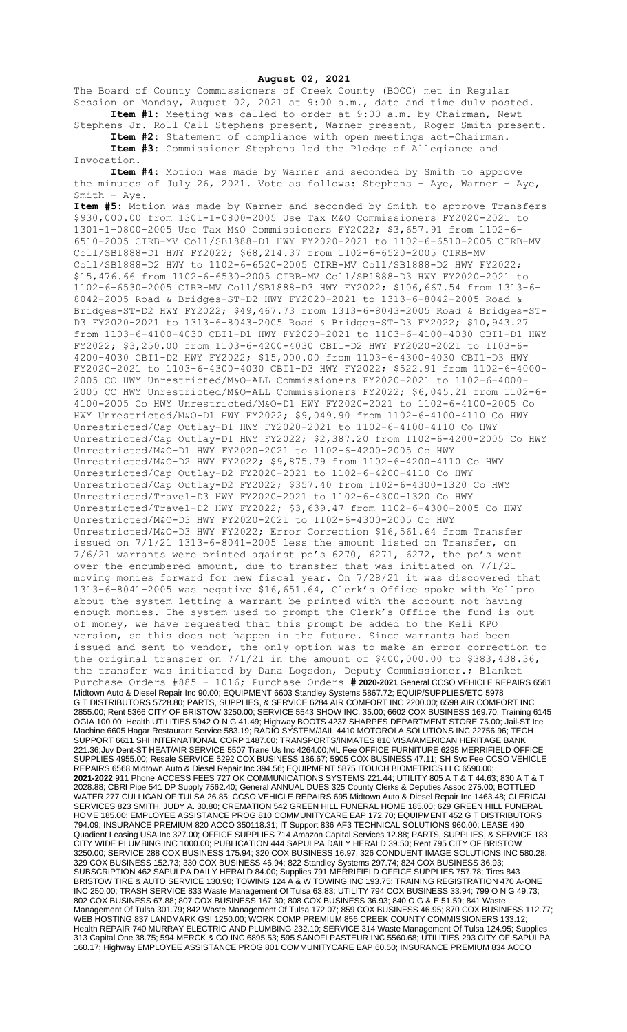**August 02, 2021**

The Board of County Commissioners of Creek County (BOCC) met in Regular Session on Monday, August 02, 2021 at 9:00 a.m., date and time duly posted. **Item #1:** Meeting was called to order at 9:00 a.m. by Chairman, Newt

Stephens Jr. Roll Call Stephens present, Warner present, Roger Smith present. **Item #2:** Statement of compliance with open meetings act-Chairman.

**Item #3:** Commissioner Stephens led the Pledge of Allegiance and Invocation.

**Item #4:** Motion was made by Warner and seconded by Smith to approve the minutes of July 26, 2021. Vote as follows: Stephens – Aye, Warner – Aye, Smith - Aye.

**Item #5:** Motion was made by Warner and seconded by Smith to approve Transfers \$930,000.00 from 1301-1-0800-2005 Use Tax M&O Commissioners FY2020-2021 to 1301-1-0800-2005 Use Tax M&O Commissioners FY2022; \$3,657.91 from 1102-6- 6510-2005 CIRB-MV Coll/SB1888-D1 HWY FY2020-2021 to 1102-6-6510-2005 CIRB-MV Coll/SB1888-D1 HWY FY2022; \$68,214.37 from 1102-6-6520-2005 CIRB-MV Coll/SB1888-D2 HWY to 1102-6-6520-2005 CIRB-MV Coll/SB1888-D2 HWY FY2022; \$15,476.66 from 1102-6-6530-2005 CIRB-MV Coll/SB1888-D3 HWY FY2020-2021 to 1102-6-6530-2005 CIRB-MV Coll/SB1888-D3 HWY FY2022; \$106,667.54 from 1313-6- 8042-2005 Road & Bridges-ST-D2 HWY FY2020-2021 to 1313-6-8042-2005 Road & Bridges-ST-D2 HWY FY2022; \$49,467.73 from 1313-6-8043-2005 Road & Bridges-ST-D3 FY2020-2021 to 1313-6-8043-2005 Road & Bridges-ST-D3 FY2022; \$10,943.27 from 1103-6-4100-4030 CBI1-D1 HWY FY2020-2021 to 1103-6-4100-4030 CBI1-D1 HWY FY2022; \$3,250.00 from 1103-6-4200-4030 CBI1-D2 HWY FY2020-2021 to 1103-6- 4200-4030 CBI1-D2 HWY FY2022; \$15,000.00 from 1103-6-4300-4030 CBI1-D3 HWY FY2020-2021 to 1103-6-4300-4030 CBI1-D3 HWY FY2022; \$522.91 from 1102-6-4000- 2005 CO HWY Unrestricted/M&O-ALL Commissioners FY2020-2021 to 1102-6-4000- 2005 CO HWY Unrestricted/M&O-ALL Commissioners FY2022; \$6,045.21 from 1102-6- 4100-2005 Co HWY Unrestricted/M&O-D1 HWY FY2020-2021 to 1102-6-4100-2005 Co HWY Unrestricted/M&O-D1 HWY FY2022; \$9,049.90 from 1102-6-4100-4110 Co HWY Unrestricted/Cap Outlay-D1 HWY FY2020-2021 to 1102-6-4100-4110 Co HWY Unrestricted/Cap Outlay-D1 HWY FY2022; \$2,387.20 from 1102-6-4200-2005 Co HWY Unrestricted/M&O-D1 HWY FY2020-2021 to 1102-6-4200-2005 Co HWY Unrestricted/M&O-D2 HWY FY2022; \$9,875.79 from 1102-6-4200-4110 Co HWY Unrestricted/Cap Outlay-D2 FY2020-2021 to 1102-6-4200-4110 Co HWY Unrestricted/Cap Outlay-D2 FY2022; \$357.40 from 1102-6-4300-1320 Co HWY Unrestricted/Travel-D3 HWY FY2020-2021 to 1102-6-4300-1320 Co HWY Unrestricted/Travel-D2 HWY FY2022; \$3,639.47 from 1102-6-4300-2005 Co HWY Unrestricted/M&O-D3 HWY FY2020-2021 to 1102-6-4300-2005 Co HWY Unrestricted/M&O-D3 HWY FY2022; Error Correction \$16,561.64 from Transfer issued on 7/1/21 1313-6-8041-2005 less the amount listed on Transfer, on 7/6/21 warrants were printed against po's 6270, 6271, 6272, the po's went over the encumbered amount, due to transfer that was initiated on 7/1/21 moving monies forward for new fiscal year. On 7/28/21 it was discovered that 1313-6-8041-2005 was negative \$16,651.64, Clerk's Office spoke with Kellpro about the system letting a warrant be printed with the account not having enough monies. The system used to prompt the Clerk's Office the fund is out of money, we have requested that this prompt be added to the Keli KPO version, so this does not happen in the future. Since warrants had been issued and sent to vendor, the only option was to make an error correction to the original transfer on  $7/1/21$  in the amount of  $$400,000.00$  to  $$383,438.36$ , the transfer was initiated by Dana Logsdon, Deputy Commissioner.; Blanket Purchase Orders #885 - 1016; Purchase Orders **# 2020-2021** General CCSO VEHICLE REPAIRS 6561 Midtown Auto & Diesel Repair Inc 90.00; EQUIPMENT 6603 Standley Systems 5867.72; EQUIP/SUPPLIES/ETC 5978 G T DISTRIBUTORS 5728.80; PARTS, SUPPLIES, & SERVICE 6284 AIR COMFORT INC 2200.00; 6598 AIR COMFORT INC 2855.00; Rent 5366 CITY OF BRISTOW 3250.00; SERVICE 5543 SHOW INC. 35.00; 6602 COX BUSINESS 169.70; Training 6145 OGIA 100.00; Health UTILITIES 5942 O N G 41.49; Highway BOOTS 4237 SHARPES DEPARTMENT STORE 75.00; Jail-ST Ice Machine 6605 Hagar Restaurant Service 583.19; RADIO SYSTEM/JAIL 4410 MOTOROLA SOLUTIONS INC 22756.96; TECH SUPPORT 6611 SHI INTERNATIONAL CORP 1487.00; TRANSPORTS/INMATES 810 VISA/AMERICAN HERITAGE BANK 221.36;Juv Dent-ST HEAT/AIR SERVICE 5507 Trane Us Inc 4264.00;ML Fee OFFICE FURNITURE 6295 MERRIFIELD OFFICE SUPPLIES 4955.00; Resale SERVICE 5292 COX BUSINESS 186.67; 5905 COX BUSINESS 47.11; SH Svc Fee CCSO VEHICLE REPAIRS 6568 Midtown Auto & Diesel Repair Inc 394.56; EQUIPMENT 5875 ITOUCH BIOMETRICS LLC 6590.00; **2021-2022** 911 Phone ACCESS FEES 727 OK COMMUNICATIONS SYSTEMS 221.44; UTILITY 805 A T & T 44.63; 830 A T & T 2028.88; CBRI Pipe 541 DP Supply 7562.40; General ANNUAL DUES 325 County Clerks & Deputies Assoc 275.00; BOTTLED WATER 277 CULLIGAN OF TULSA 26.85; CCSO VEHICLE REPAIRS 695 Midtown Auto & Diesel Repair Inc 1463.48; CLERICAL SERVICES 823 SMITH, JUDY A. 30.80; CREMATION 542 GREEN HILL FUNERAL HOME 185.00; 629 GREEN HILL FUNERAL HOME 185.00; EMPLOYEE ASSISTANCE PROG 810 COMMUNITYCARE EAP 172.70; EQUIPMENT 452 G T DISTRIBUTORS 794.09; INSURANCE PREMIUM 820 ACCO 350118.31; IT Support 836 AF3 TECHNICAL SOLUTIONS 960.00; LEASE 490 Quadient Leasing USA Inc 327.00; OFFICE SUPPLIES 714 Amazon Capital Services 12.88; PARTS, SUPPLIES, & SERVICE 183 CITY WIDE PLUMBING INC 1000.00; PUBLICATION 444 SAPULPA DAILY HERALD 39.50; Rent 795 CITY OF BRISTOW 3250.00; SERVICE 288 COX BUSINESS 175.94; 320 COX BUSINESS 16.97; 326 CONDUENT IMAGE SOLUTIONS INC 580.28; 329 COX BUSINESS 152.73; 330 COX BUSINESS 46.94; 822 Standley Systems 297.74; 824 COX BUSINESS 36.93; SUBSCRIPTION 462 SAPULPA DAILY HERALD 84.00; Supplies 791 MERRIFIELD OFFICE SUPPLIES 757.78; Tires 843 BRISTOW TIRE & AUTO SERVICE 130.90; TOWING 124 A & W TOWING INC 193.75; TRAINING REGISTRATION 470 A-ONE INC 250.00; TRASH SERVICE 833 Waste Management Of Tulsa 63.83; UTILITY 794 COX BUSINESS 33.94; 799 O N G 49.73; 802 COX BUSINESS 67.88; 807 COX BUSINESS 167.30; 808 COX BUSINESS 36.93; 840 O G & E 51.59; 841 Waste Management Of Tulsa 301.79; 842 Waste Management Of Tulsa 172.07; 859 COX BUSINESS 46.95; 870 COX BUSINESS 112.77; WEB HOSTING 837 LANDMARK GSI 1250.00; WORK COMP PREMIUM 856 CREEK COUNTY COMMISSIONERS 133.12; Health REPAIR 740 MURRAY ELECTRIC AND PLUMBING 232.10; SERVICE 314 Waste Management Of Tulsa 124.95; Supplies 313 Capital One 38.75; 594 MERCK & CO INC 6895.53; 595 SANOFI PASTEUR INC 5560.68; UTILITIES 293 CITY OF SAPULPA 160.17; Highway EMPLOYEE ASSISTANCE PROG 801 COMMUNITYCARE EAP 60.50; INSURANCE PREMIUM 834 ACCO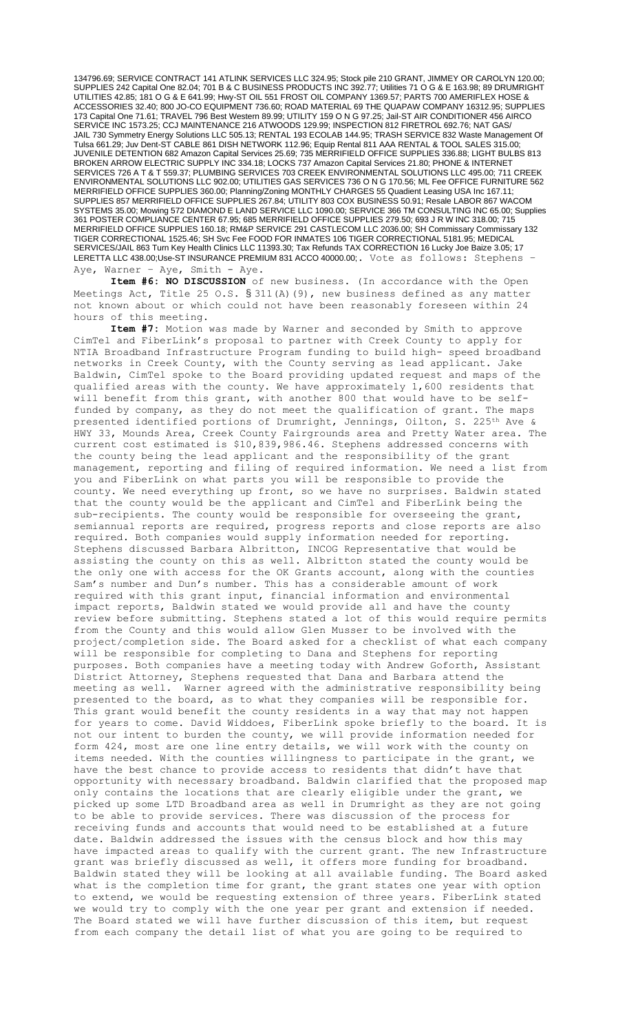134796.69; SERVICE CONTRACT 141 ATLINK SERVICES LLC 324.95; Stock pile 210 GRANT, JIMMEY OR CAROLYN 120.00; SUPPLIES 242 Capital One 82.04; 701 B & C BUSINESS PRODUCTS INC 392.77; Utilities 71 O G & E 163.98; 89 DRUMRIGHT UTILITIES 42.85; 181 O G & E 641.99; Hwy-ST OIL 551 FROST OIL COMPANY 1369.57; PARTS 700 AMERIFLEX HOSE & ACCESSORIES 32.40; 800 JO-CO EQUIPMENT 736.60; ROAD MATERIAL 69 THE QUAPAW COMPANY 16312.95; SUPPLIES 173 Capital One 71.61; TRAVEL 796 Best Western 89.99; UTILITY 159 O N G 97.25; Jail-ST AIR CONDITIONER 456 AIRCO SERVICE INC 1573.25; CCJ MAINTENANCE 216 ATWOODS 129.99; INSPECTION 812 FIRETROL 692.76; NAT GAS/ JAIL 730 Symmetry Energy Solutions LLC 505.13; RENTAL 193 ECOLAB 144.95; TRASH SERVICE 832 Waste Management Of Tulsa 661.29; Juv Dent-ST CABLE 861 DISH NETWORK 112.96; Equip Rental 811 AAA RENTAL & TOOL SALES 315.00; JUVENILE DETENTION 682 Amazon Capital Services 25.69; 735 MERRIFIELD OFFICE SUPPLIES 336.88; LIGHT BULBS 813 BROKEN ARROW ELECTRIC SUPPLY INC 334.18; LOCKS 737 Amazon Capital Services 21.80; PHONE & INTERNET SERVICES 726 A T & T 559.37; PLUMBING SERVICES 703 CREEK ENVIRONMENTAL SOLUTIONS LLC 495.00; 711 CREEK ENVIRONMENTAL SOLUTIONS LLC 902.00; UTILITIES GAS SERVICES 736 O N G 170.56; ML Fee OFFICE FURNITURE 562 MERRIFIELD OFFICE SUPPLIES 360.00; Planning/Zoning MONTHLY CHARGES 55 Quadient Leasing USA Inc 167.11; SUPPLIES 857 MERRIFIELD OFFICE SUPPLIES 267.84; UTILITY 803 COX BUSINESS 50.91; Resale LABOR 867 WACOM SYSTEMS 35.00; Mowing 572 DIAMOND E LAND SERVICE LLC 1090.00; SERVICE 366 TM CONSULTING INC 65.00; Supplies 361 POSTER COMPLIANCE CENTER 67.95; 685 MERRIFIELD OFFICE SUPPLIES 279.50; 693 J R W INC 318.00; 715 MERRIFIELD OFFICE SUPPLIES 160.18; RM&P SERVICE 291 CASTLECOM LLC 2036.00; SH Commissary Commissary 132 TIGER CORRECTIONAL 1525.46; SH Svc Fee FOOD FOR INMATES 106 TIGER CORRECTIONAL 5181.95; MEDICAL SERVICES/JAIL 863 Turn Key Health Clinics LLC 11393.30; Tax Refunds TAX CORRECTION 16 Lucky Joe Baize 3.05; 17 LERETTA LLC 438.00;Use-ST INSURANCE PREMIUM 831 ACCO 40000.00;. Vote as follows: Stephens – Aye, Warner - Aye, Smith - Aye.

**Item #6: NO DISCUSSION** of new business. (In accordance with the Open Meetings Act, Title 25 O.S.  $\S 311(A)$  (9), new business defined as any matter not known about or which could not have been reasonably foreseen within 24 hours of this meeting.

**Item #7:** Motion was made by Warner and seconded by Smith to approve CimTel and FiberLink's proposal to partner with Creek County to apply for NTIA Broadband Infrastructure Program funding to build high- speed broadband networks in Creek County, with the County serving as lead applicant. Jake Baldwin, CimTel spoke to the Board providing updated request and maps of the qualified areas with the county. We have approximately 1,600 residents that will benefit from this grant, with another 800 that would have to be selffunded by company, as they do not meet the qualification of grant. The maps presented identified portions of Drumright, Jennings, Oilton, S. 225<sup>th</sup> Ave & HWY 33, Mounds Area, Creek County Fairgrounds area and Pretty Water area. The current cost estimated is \$10,839,986.46. Stephens addressed concerns with the county being the lead applicant and the responsibility of the grant management, reporting and filing of required information. We need a list from you and FiberLink on what parts you will be responsible to provide the county. We need everything up front, so we have no surprises. Baldwin stated that the county would be the applicant and CimTel and FiberLink being the sub-recipients. The county would be responsible for overseeing the grant, semiannual reports are required, progress reports and close reports are also required. Both companies would supply information needed for reporting. Stephens discussed Barbara Albritton, INCOG Representative that would be assisting the county on this as well. Albritton stated the county would be the only one with access for the OK Grants account, along with the counties Sam's number and Dun's number. This has a considerable amount of work required with this grant input, financial information and environmental impact reports, Baldwin stated we would provide all and have the county review before submitting. Stephens stated a lot of this would require permits from the County and this would allow Glen Musser to be involved with the project/completion side. The Board asked for a checklist of what each company will be responsible for completing to Dana and Stephens for reporting purposes. Both companies have a meeting today with Andrew Goforth, Assistant District Attorney, Stephens requested that Dana and Barbara attend the meeting as well. Warner agreed with the administrative responsibility being presented to the board, as to what they companies will be responsible for. This grant would benefit the county residents in a way that may not happen for years to come. David Widdoes, FiberLink spoke briefly to the board. It is not our intent to burden the county, we will provide information needed for form 424, most are one line entry details, we will work with the county on items needed. With the counties willingness to participate in the grant, we have the best chance to provide access to residents that didn't have that opportunity with necessary broadband. Baldwin clarified that the proposed map only contains the locations that are clearly eligible under the grant, we picked up some LTD Broadband area as well in Drumright as they are not going to be able to provide services. There was discussion of the process for receiving funds and accounts that would need to be established at a future date. Baldwin addressed the issues with the census block and how this may have impacted areas to qualify with the current grant. The new Infrastructure grant was briefly discussed as well, it offers more funding for broadband. Baldwin stated they will be looking at all available funding. The Board asked what is the completion time for grant, the grant states one year with option to extend, we would be requesting extension of three years. FiberLink stated we would try to comply with the one year per grant and extension if needed. The Board stated we will have further discussion of this item, but request from each company the detail list of what you are going to be required to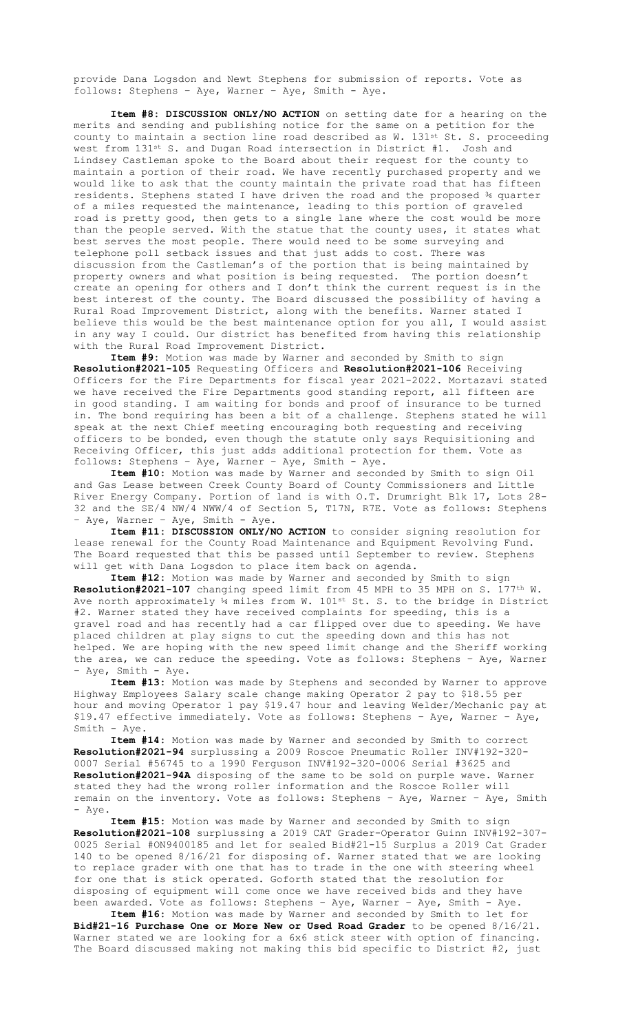provide Dana Logsdon and Newt Stephens for submission of reports. Vote as follows: Stephens – Aye, Warner – Aye, Smith - Aye.

**Item #8: DISCUSSION ONLY/NO ACTION** on setting date for a hearing on the merits and sending and publishing notice for the same on a petition for the county to maintain a section line road described as W. 131st St. S. proceeding west from 131st S. and Dugan Road intersection in District #1. Josh and Lindsey Castleman spoke to the Board about their request for the county to maintain a portion of their road. We have recently purchased property and we would like to ask that the county maintain the private road that has fifteen residents. Stephens stated I have driven the road and the proposed ¾ quarter of a miles requested the maintenance, leading to this portion of graveled road is pretty good, then gets to a single lane where the cost would be more than the people served. With the statue that the county uses, it states what best serves the most people. There would need to be some surveying and telephone poll setback issues and that just adds to cost. There was discussion from the Castleman's of the portion that is being maintained by property owners and what position is being requested. The portion doesn't create an opening for others and I don't think the current request is in the best interest of the county. The Board discussed the possibility of having a Rural Road Improvement District, along with the benefits. Warner stated I believe this would be the best maintenance option for you all, I would assist in any way I could. Our district has benefited from having this relationship with the Rural Road Improvement District.

**Item #9:** Motion was made by Warner and seconded by Smith to sign **Resolution#2021-105** Requesting Officers and **Resolution#2021-106** Receiving Officers for the Fire Departments for fiscal year 2021-2022. Mortazavi stated we have received the Fire Departments good standing report, all fifteen are in good standing. I am waiting for bonds and proof of insurance to be turned in. The bond requiring has been a bit of a challenge. Stephens stated he will speak at the next Chief meeting encouraging both requesting and receiving officers to be bonded, even though the statute only says Requisitioning and Receiving Officer, this just adds additional protection for them. Vote as follows: Stephens – Aye, Warner – Aye, Smith - Aye.

**Item #10:** Motion was made by Warner and seconded by Smith to sign Oil and Gas Lease between Creek County Board of County Commissioners and Little River Energy Company. Portion of land is with O.T. Drumright Blk 17, Lots 28- 32 and the SE/4 NW/4 NWW/4 of Section 5, T17N, R7E. Vote as follows: Stephens – Aye, Warner – Aye, Smith - Aye.

**Item #11: DISCUSSION ONLY/NO ACTION** to consider signing resolution for lease renewal for the County Road Maintenance and Equipment Revolving Fund. The Board requested that this be passed until September to review. Stephens will get with Dana Logsdon to place item back on agenda.

**Item #12:** Motion was made by Warner and seconded by Smith to sign **Resolution#2021-107** changing speed limit from 45 MPH to 35 MPH on S. 177th W. Ave north approximately  $4$  miles from W. 101st St. S. to the bridge in District #2. Warner stated they have received complaints for speeding, this is a gravel road and has recently had a car flipped over due to speeding. We have placed children at play signs to cut the speeding down and this has not helped. We are hoping with the new speed limit change and the Sheriff working the area, we can reduce the speeding. Vote as follows: Stephens – Aye, Warner - Aye, Smith - Aye.

**Item #13:** Motion was made by Stephens and seconded by Warner to approve Highway Employees Salary scale change making Operator 2 pay to \$18.55 per hour and moving Operator 1 pay \$19.47 hour and leaving Welder/Mechanic pay at \$19.47 effective immediately. Vote as follows: Stephens – Aye, Warner – Aye, Smith - Aye.

**Item #14:** Motion was made by Warner and seconded by Smith to correct **Resolution#2021-94** surplussing a 2009 Roscoe Pneumatic Roller INV#192-320- 0007 Serial #56745 to a 1990 Ferguson INV#192-320-0006 Serial #3625 and **Resolution#2021-94A** disposing of the same to be sold on purple wave. Warner stated they had the wrong roller information and the Roscoe Roller will remain on the inventory. Vote as follows: Stephens – Aye, Warner – Aye, Smith - Aye.

**Item #15:** Motion was made by Warner and seconded by Smith to sign **Resolution#2021-108** surplussing a 2019 CAT Grader-Operator Guinn INV#192-307- 0025 Serial #ON9400185 and let for sealed Bid#21-15 Surplus a 2019 Cat Grader 140 to be opened 8/16/21 for disposing of. Warner stated that we are looking to replace grader with one that has to trade in the one with steering wheel for one that is stick operated. Goforth stated that the resolution for disposing of equipment will come once we have received bids and they have been awarded. Vote as follows: Stephens – Aye, Warner – Aye, Smith - Aye.

**Item #16:** Motion was made by Warner and seconded by Smith to let for **Bid#21-16 Purchase One or More New or Used Road Grader** to be opened 8/16/21. Warner stated we are looking for a 6x6 stick steer with option of financing. The Board discussed making not making this bid specific to District #2, just